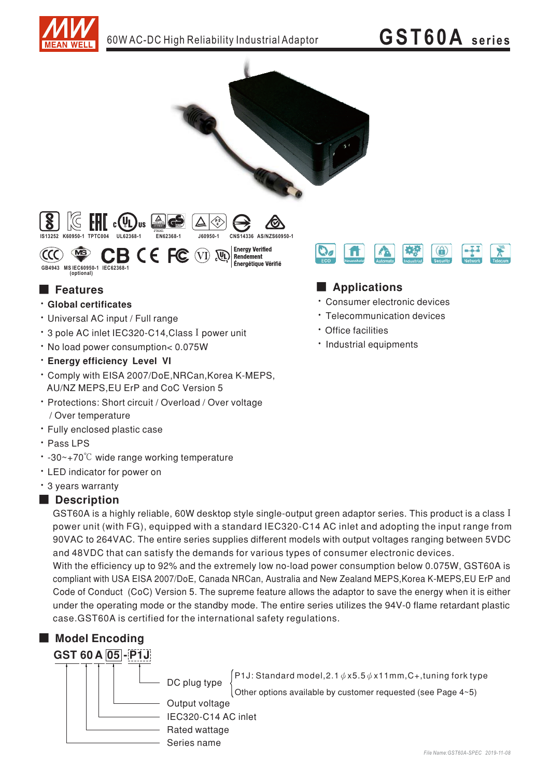

## **GST60A** series



### **E** Features

- · Global certificates
- Universal AC input / Full range
- \* 3 pole AC inlet IEC320-C14, Class I power unit
- · No load power consumption< 0.075W
- · Energy efficiency Level VI
- \* Comply with EISA 2007/DoE, NRCan, Korea K-MEPS, AU/NZ MEPS, EU ErP and CoC Version 5
- · Protections: Short circuit / Overload / Over voltage / Over temperature
- · Fully enclosed plastic case
- · Pass LPS
- $\cdot$  -30~+70°C wide range working temperature
- LED indicator for power on
- \* 3 years warranty

#### Description

GST60A is a highly reliable, 60W desktop style single-output green adaptor series. This product is a class I power unit (with FG), equipped with a standard IEC320-C14 AC inlet and adopting the input range from 90VAC to 264VAC. The entire series supplies different models with output voltages ranging between 5VDC and 48VDC that can satisfy the demands for various types of consumer electronic devices.

With the efficiency up to 92% and the extremely low no-load power consumption below 0.075W, GST60A is compliant with USA EISA 2007/DoE, Canada NRCan, Australia and New Zealand MEPS, Korea K-MEPS, EU ErP and Code of Conduct (CoC) Version 5. The supreme feature allows the adaptor to save the energy when it is either under the operating mode or the standby mode. The entire series utilizes the 94V-0 flame retardant plastic case.GST60A is certified for the international safety regulations.





 $^{'}$ P1J: Standard model,2.1  $\phi$  x5.5  $\phi$  x11mm,C+,tuning fork type

Other options available by customer requested (see Page 4~5)

Output voltage IEC320-C14 AC inlet Rated wattage Series name



#### Applications

- · Consumer electronic devices
- · Telecommunication devices
- · Office facilities
- · Industrial equipments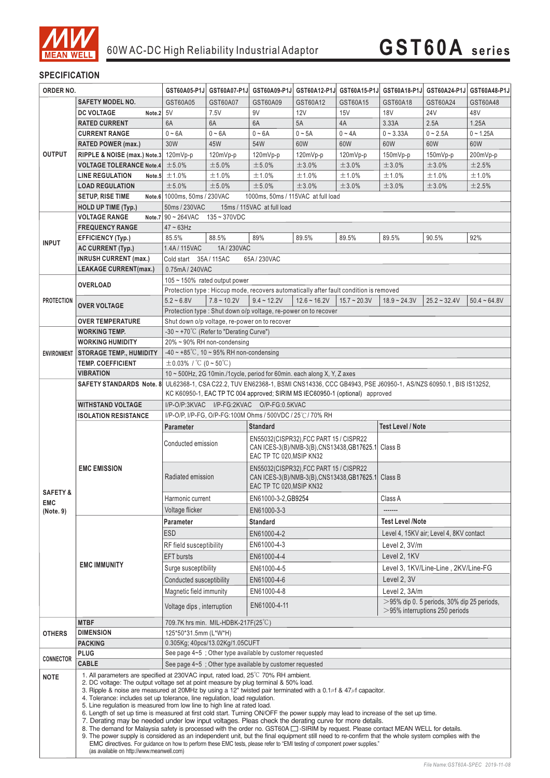

#### **SPECIFICATION**

| ORDER NO.               |                                                                                                                | GST60A05-P1J                                                                                                                                                                                                        |               | GST60A07-P1J GST60A09-P1J                                                                                                  |                |                   | GST60A12-P1J GST60A15-P1J GST60A18-P1J GST60A24-P1J GST60A48-P1J |                                                                                    |                |  |
|-------------------------|----------------------------------------------------------------------------------------------------------------|---------------------------------------------------------------------------------------------------------------------------------------------------------------------------------------------------------------------|---------------|----------------------------------------------------------------------------------------------------------------------------|----------------|-------------------|------------------------------------------------------------------|------------------------------------------------------------------------------------|----------------|--|
|                         | <b>SAFETY MODEL NO.</b>                                                                                        | GST60A05                                                                                                                                                                                                            | GST60A07      | GST60A09                                                                                                                   | GST60A12       | GST60A15          | GST60A18                                                         | GST60A24                                                                           | GST60A48       |  |
|                         | <b>DC VOLTAGE</b><br>Note. $2 \mid 5V$                                                                         |                                                                                                                                                                                                                     | 7.5V          | 9V                                                                                                                         | 12V            | 15V               | 18V                                                              | 24V                                                                                | 48V            |  |
|                         | <b>RATED CURRENT</b>                                                                                           | 6A                                                                                                                                                                                                                  | 6A            | 6A                                                                                                                         | 5A             | 4A                | 3.33A                                                            | 2.5A                                                                               | 1.25A          |  |
|                         | <b>CURRENT RANGE</b>                                                                                           | $0 - 6A$                                                                                                                                                                                                            | $0 - 6A$      | $0 - 6A$                                                                                                                   | $0 \sim 5A$    | $0 - 4A$          | $0 - 3.33A$                                                      | $0 - 2.5A$                                                                         | $0 - 1.25A$    |  |
|                         | <b>RATED POWER (max.)</b>                                                                                      | 30W                                                                                                                                                                                                                 | 45W           | 54W                                                                                                                        | 60W            | 60W               | 60W                                                              | 60W                                                                                | 60W            |  |
| <b>OUTPUT</b>           | RIPPLE & NOISE (max.) Note.3 120mVp-p                                                                          |                                                                                                                                                                                                                     | 120mVp-p      | 120mVp-p                                                                                                                   | 120mVp-p       | 120mVp-p          | 150mVp-p                                                         | 150mVp-p                                                                           | 200mVp-p       |  |
|                         | <b>VOLTAGE TOLERANCE Note.4</b>                                                                                | ±5.0%                                                                                                                                                                                                               | ±5.0%         | ±5.0%                                                                                                                      | ±3.0%          | ±3.0%             | ±3.0%                                                            | ±3.0%                                                                              | ±2.5%          |  |
|                         | <b>LINE REGULATION</b><br>Note.5                                                                               | ±1.0%                                                                                                                                                                                                               | ±1.0%         | ±1.0%                                                                                                                      | ±1.0%          | ±1.0%             | ±1.0%                                                            | ±1.0%                                                                              | ±1.0%          |  |
|                         | <b>LOAD REGULATION</b>                                                                                         | ±5.0%                                                                                                                                                                                                               | ±5.0%         | ±5.0%                                                                                                                      | ±3.0%          | ±3.0%             | ±3.0%                                                            | ±3.0%                                                                              | ±2.5%          |  |
|                         |                                                                                                                | Note.6 1000ms, 50ms / 230VAC                                                                                                                                                                                        |               |                                                                                                                            |                |                   |                                                                  |                                                                                    |                |  |
|                         | <b>SETUP, RISE TIME</b>                                                                                        |                                                                                                                                                                                                                     |               | 1000ms, 50ms / 115VAC at full load                                                                                         |                |                   |                                                                  |                                                                                    |                |  |
|                         | <b>HOLD UP TIME (Typ.)</b>                                                                                     | 50ms / 230VAC<br>15ms / 115VAC at full load                                                                                                                                                                         |               |                                                                                                                            |                |                   |                                                                  |                                                                                    |                |  |
|                         | <b>VOLTAGE RANGE</b>                                                                                           | Note.7 $90 \sim 264$ VAC $135 \sim 370$ VDC<br>$47 \sim 63$ Hz                                                                                                                                                      |               |                                                                                                                            |                |                   |                                                                  |                                                                                    |                |  |
|                         | <b>FREQUENCY RANGE</b>                                                                                         |                                                                                                                                                                                                                     |               |                                                                                                                            |                |                   |                                                                  |                                                                                    |                |  |
| <b>INPUT</b>            | <b>EFFICIENCY (Typ.)</b>                                                                                       | 85.5%                                                                                                                                                                                                               | 88.5%         | 89%                                                                                                                        | 89.5%          | 89.5%             | 92%<br>89.5%<br>90.5%                                            |                                                                                    |                |  |
|                         | <b>AC CURRENT (Typ.)</b>                                                                                       | 1.4A/115VAC                                                                                                                                                                                                         | 1A/230VAC     |                                                                                                                            |                |                   |                                                                  |                                                                                    |                |  |
|                         | <b>INRUSH CURRENT (max.)</b>                                                                                   | Cold start 35A/115AC                                                                                                                                                                                                |               | 65A / 230VAC                                                                                                               |                |                   |                                                                  |                                                                                    |                |  |
|                         | <b>LEAKAGE CURRENT(max.)</b>                                                                                   | 0.75mA / 240VAC                                                                                                                                                                                                     |               |                                                                                                                            |                |                   |                                                                  |                                                                                    |                |  |
|                         | <b>OVERLOAD</b>                                                                                                | $105 \sim 150\%$ rated output power                                                                                                                                                                                 |               |                                                                                                                            |                |                   |                                                                  |                                                                                    |                |  |
|                         |                                                                                                                |                                                                                                                                                                                                                     |               | Protection type : Hiccup mode, recovers automatically after fault condition is removed                                     |                |                   |                                                                  |                                                                                    |                |  |
| <b>PROTECTION</b>       | <b>OVER VOLTAGE</b>                                                                                            | $5.2 - 6.8V$                                                                                                                                                                                                        | $7.8 - 10.2V$ | $9.4 - 12.2V$                                                                                                              | $12.6 - 16.2V$ | $15.7 \sim 20.3V$ | $18.9 - 24.3V$                                                   | $25.2 - 32.4V$                                                                     | $50.4 - 64.8V$ |  |
|                         |                                                                                                                |                                                                                                                                                                                                                     |               | Protection type : Shut down o/p voltage, re-power on to recover                                                            |                |                   |                                                                  |                                                                                    |                |  |
|                         | <b>OVER TEMPERATURE</b>                                                                                        | Shut down o/p voltage, re-power on to recover                                                                                                                                                                       |               |                                                                                                                            |                |                   |                                                                  |                                                                                    |                |  |
|                         | <b>WORKING TEMP.</b>                                                                                           | $-30 \sim +70^{\circ}$ C (Refer to "Derating Curve")                                                                                                                                                                |               |                                                                                                                            |                |                   |                                                                  |                                                                                    |                |  |
|                         | <b>WORKING HUMIDITY</b>                                                                                        | 20% ~ 90% RH non-condensing                                                                                                                                                                                         |               |                                                                                                                            |                |                   |                                                                  |                                                                                    |                |  |
| <b>ENVIRONMENT</b>      | <b>STORAGE TEMP., HUMIDITY</b>                                                                                 | $-40 \sim +85^{\circ}$ C, 10 ~ 95% RH non-condensing                                                                                                                                                                |               |                                                                                                                            |                |                   |                                                                  |                                                                                    |                |  |
|                         | <b>TEMP. COEFFICIENT</b>                                                                                       | $\pm 0.03\%$ / °C (0 ~ 50°C)                                                                                                                                                                                        |               |                                                                                                                            |                |                   |                                                                  |                                                                                    |                |  |
|                         | <b>VIBRATION</b>                                                                                               | 10 ~ 500Hz, 2G 10min./1cycle, period for 60min. each along X, Y, Z axes                                                                                                                                             |               |                                                                                                                            |                |                   |                                                                  |                                                                                    |                |  |
|                         |                                                                                                                | SAFETY STANDARDS Note. 8 UL62368-1, CSA C22.2, TUV EN62368-1, BSMI CNS14336, CCC GB4943, PSE J60950-1, AS/NZS 60950.1, BIS IS13252,<br>KC K60950-1, EAC TP TC 004 approved; SIRIM MS IEC60950-1 (optional) approved |               |                                                                                                                            |                |                   |                                                                  |                                                                                    |                |  |
|                         |                                                                                                                |                                                                                                                                                                                                                     |               |                                                                                                                            |                |                   |                                                                  |                                                                                    |                |  |
|                         | <b>WITHSTAND VOLTAGE</b>                                                                                       | I/P-O/P:3KVAC I/P-FG:2KVAC O/P-FG:0.5KVAC                                                                                                                                                                           |               |                                                                                                                            |                |                   |                                                                  |                                                                                    |                |  |
|                         | <b>ISOLATION RESISTANCE</b>                                                                                    |                                                                                                                                                                                                                     |               | I/P-O/P, I/P-FG, O/P-FG:100M Ohms / 500VDC / 25°C / 70% RH                                                                 |                |                   |                                                                  |                                                                                    |                |  |
|                         |                                                                                                                | <b>Test Level / Note</b><br><b>Standard</b><br>Parameter                                                                                                                                                            |               |                                                                                                                            |                |                   |                                                                  |                                                                                    |                |  |
|                         | <b>EMC EMISSION</b>                                                                                            | Conducted emission                                                                                                                                                                                                  |               | EN55032(CISPR32), FCC PART 15 / CISPR22<br>CAN ICES-3(B)/NMB-3(B),CNS13438,GB17625.1 Class B<br>EAC TP TC 020, MSIP KN32   |                |                   |                                                                  |                                                                                    |                |  |
|                         |                                                                                                                | Radiated emission                                                                                                                                                                                                   |               | EN55032(CISPR32), FCC PART 15 / CISPR22<br>CAN ICES-3(B)/NMB-3(B), CNS13438, GB17625.1 Class B<br>EAC TP TC 020, MSIP KN32 |                |                   |                                                                  |                                                                                    |                |  |
| <b>SAFETY &amp;</b>     |                                                                                                                | Harmonic current                                                                                                                                                                                                    |               | EN61000-3-2, GB9254                                                                                                        |                |                   | Class A                                                          |                                                                                    |                |  |
| <b>EMC</b><br>(Note. 9) |                                                                                                                | Voltage flicker                                                                                                                                                                                                     |               | EN61000-3-3                                                                                                                |                |                   |                                                                  |                                                                                    |                |  |
|                         | <b>EMC IMMUNITY</b>                                                                                            | Parameter                                                                                                                                                                                                           |               | <b>Standard</b>                                                                                                            |                |                   | <b>Test Level /Note</b>                                          |                                                                                    |                |  |
|                         |                                                                                                                | <b>ESD</b>                                                                                                                                                                                                          |               | EN61000-4-2                                                                                                                |                |                   | Level 4, 15KV air; Level 4, 8KV contact                          |                                                                                    |                |  |
|                         |                                                                                                                |                                                                                                                                                                                                                     |               | EN61000-4-3                                                                                                                |                |                   |                                                                  |                                                                                    |                |  |
|                         |                                                                                                                | RF field susceptibility                                                                                                                                                                                             |               |                                                                                                                            |                |                   | Level 2, 3V/m                                                    |                                                                                    |                |  |
|                         |                                                                                                                | <b>EFT</b> bursts                                                                                                                                                                                                   |               | EN61000-4-4                                                                                                                |                |                   | Level 2, 1KV                                                     |                                                                                    |                |  |
|                         |                                                                                                                | Surge susceptibility                                                                                                                                                                                                |               | EN61000-4-5                                                                                                                |                |                   | Level 3, 1KV/Line-Line, 2KV/Line-FG                              |                                                                                    |                |  |
|                         |                                                                                                                |                                                                                                                                                                                                                     |               | Level 2, 3V<br>EN61000-4-6<br>Conducted susceptibility                                                                     |                |                   |                                                                  |                                                                                    |                |  |
|                         |                                                                                                                |                                                                                                                                                                                                                     |               |                                                                                                                            |                |                   |                                                                  |                                                                                    |                |  |
|                         |                                                                                                                | Magnetic field immunity                                                                                                                                                                                             |               | EN61000-4-8                                                                                                                |                |                   | Level 2, 3A/m                                                    |                                                                                    |                |  |
|                         |                                                                                                                | Voltage dips, interruption                                                                                                                                                                                          |               | EN61000-4-11                                                                                                               |                |                   |                                                                  | $>$ 95% dip 0. 5 periods, 30% dip 25 periods,<br>$>$ 95% interruptions 250 periods |                |  |
|                         | <b>MTBF</b>                                                                                                    | 709.7K hrs min. MIL-HDBK-217F(25°C)                                                                                                                                                                                 |               |                                                                                                                            |                |                   |                                                                  |                                                                                    |                |  |
| <b>OTHERS</b>           | <b>DIMENSION</b>                                                                                               | 125*50*31.5mm (L*W*H)                                                                                                                                                                                               |               |                                                                                                                            |                |                   |                                                                  |                                                                                    |                |  |
|                         | <b>PACKING</b>                                                                                                 | 0.305Kg; 40pcs/13.02Kg/1.05CUFT                                                                                                                                                                                     |               |                                                                                                                            |                |                   |                                                                  |                                                                                    |                |  |
| <b>CONNECTOR</b>        | <b>PLUG</b>                                                                                                    |                                                                                                                                                                                                                     |               | See page $4-5$ ; Other type available by customer requested                                                                |                |                   |                                                                  |                                                                                    |                |  |
|                         | <b>CABLE</b><br>1. All parameters are specified at 230VAC input, rated load, 25 <sup>°</sup> C 70% RH ambient. |                                                                                                                                                                                                                     |               | See page 4~5; Other type available by customer requested                                                                   |                |                   |                                                                  |                                                                                    |                |  |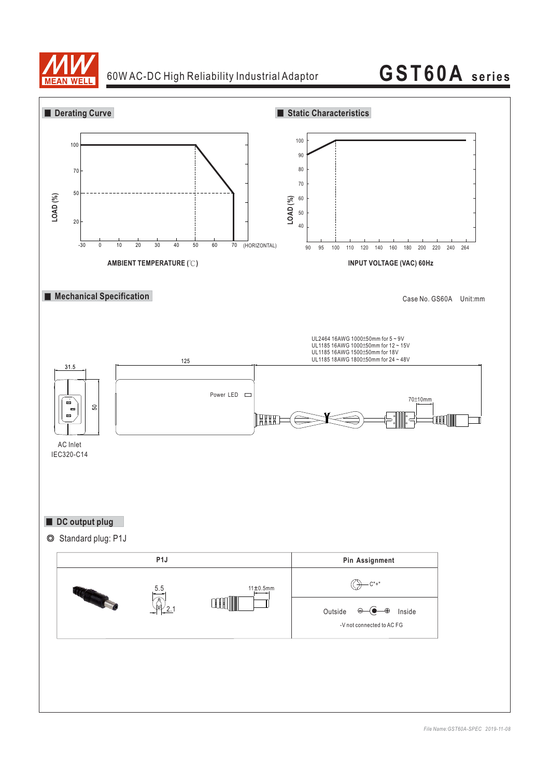

### 60W AC-DC High Reliability Industrial Adaptor

# **GST60A series**

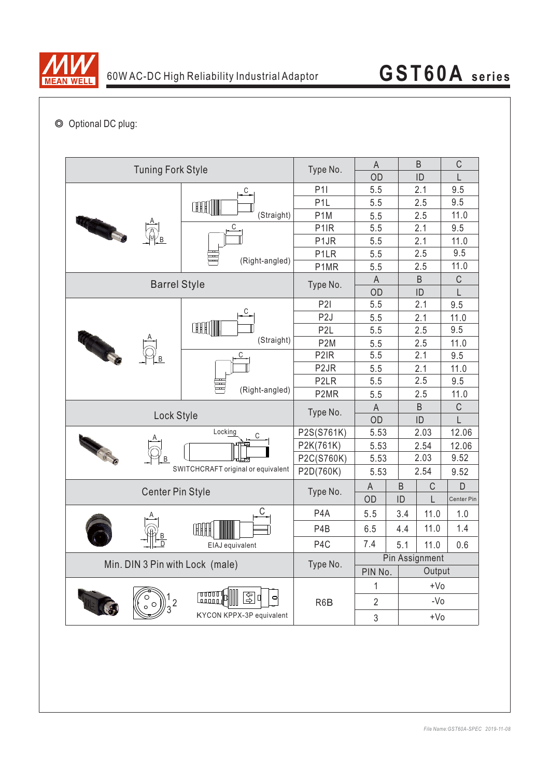

## ◎ Optional DC plug:

| <b>Tuning Fork Style</b>           |                                                                     | Type No.          | $\mathsf A$    |             | B           | $\mathsf C$ |
|------------------------------------|---------------------------------------------------------------------|-------------------|----------------|-------------|-------------|-------------|
|                                    |                                                                     | OD                |                | ID          | L           |             |
|                                    | $\overline{C}$                                                      | P11               | 5.5            |             | 2.1         | 9.5         |
|                                    | ŒH                                                                  | P <sub>1</sub> L  | 5.5            |             | 2.5         | 9.5         |
|                                    | (Straight)                                                          | P <sub>1</sub> M  | 5.5            |             | 2.5         | 11.0        |
|                                    | С<br>(Right-angled)                                                 | P <sub>1</sub> IR | 5.5            |             | 2.1         | 9.5         |
|                                    |                                                                     | P <sub>1</sub> JR | 5.5            |             | 2.1         | 11.0        |
|                                    |                                                                     | P <sub>1</sub> LR | 5.5            |             | 2.5         | 9.5         |
|                                    |                                                                     | P1MR              | 5.5            |             | 2.5         | 11.0        |
| <b>Barrel Style</b>                | Type No.                                                            | A                 |                | B           | $\mathsf C$ |             |
|                                    |                                                                     | OD                |                | ID          | L           |             |
|                                    | C                                                                   | P2I               | 5.5            |             | 2.1         | 9.5         |
|                                    |                                                                     | P <sub>2</sub> J  | 5.5            |             | 2.1         | 11.0        |
|                                    | ŒĦ                                                                  | P <sub>2</sub> L  | 5.5            |             | 2.5         | 9.5         |
| <b>CONTRACTOR</b>                  | (Straight)                                                          | P <sub>2</sub> M  | 5.5            |             | 2.5         | 11.0        |
|                                    | C<br>(Right-angled)<br>π                                            | P <sub>2</sub> IR | 5.5            |             | 2.1         | 9.5         |
|                                    |                                                                     | P <sub>2</sub> JR | 5.5            |             | 2.1         | 11.0        |
|                                    |                                                                     | P <sub>2</sub> LR | 5.5            |             | 2.5         | 9.5         |
|                                    |                                                                     | P2MR              | 5.5            |             | 2.5         | 11.0        |
|                                    | Type No.                                                            | $\mathsf A$       |                | B           | $\mathsf C$ |             |
| Lock Style                         |                                                                     | OD                |                | ID          | L           |             |
|                                    | Locking<br>С                                                        | P2S(S761K)        | 5.53           |             | 2.03        | 12.06       |
|                                    |                                                                     | P2K(761K)         | 5.53           |             | 2.54        | 12.06       |
| <b>CERTI</b>                       |                                                                     | P2C(S760K)        | 5.53           |             | 2.03        | 9.52        |
| SWITCHCRAFT original or equivalent |                                                                     | P2D(760K)         | 5.53           |             | 2.54        | 9.52        |
|                                    | Type No.                                                            | $\mathsf{A}$      | $\sf B$        | $\mathsf C$ | D           |             |
| <b>Center Pin Style</b>            |                                                                     | OD                | ID             | L           | Center Pin  |             |
|                                    |                                                                     | P <sub>4</sub> A  | 5.5            | 3.4         | 11.0        | 1.0         |
|                                    |                                                                     | P <sub>4</sub> B  | 6.5            | 4.4         | 11.0        | 1.4         |
|                                    | EIAJ equivalent                                                     | P <sub>4</sub> C  | 7.4            | 5.1         | 11.0        | 0.6         |
|                                    |                                                                     | Pin Assignment    |                |             |             |             |
| Min. DIN 3 Pin with Lock (male)    | Type No.                                                            | PIN No.           |                | Output      |             |             |
|                                    |                                                                     | R <sub>6</sub> B  | 1              |             | $+V0$       |             |
|                                    | ا 10000<br>ড়ি<br>ď<br>$\Box$<br>روووها<br>KYCON KPPX-3P equivalent |                   | $\overline{2}$ |             | $-VO$       |             |
|                                    |                                                                     |                   | $\sqrt{3}$     |             | $+V0$       |             |